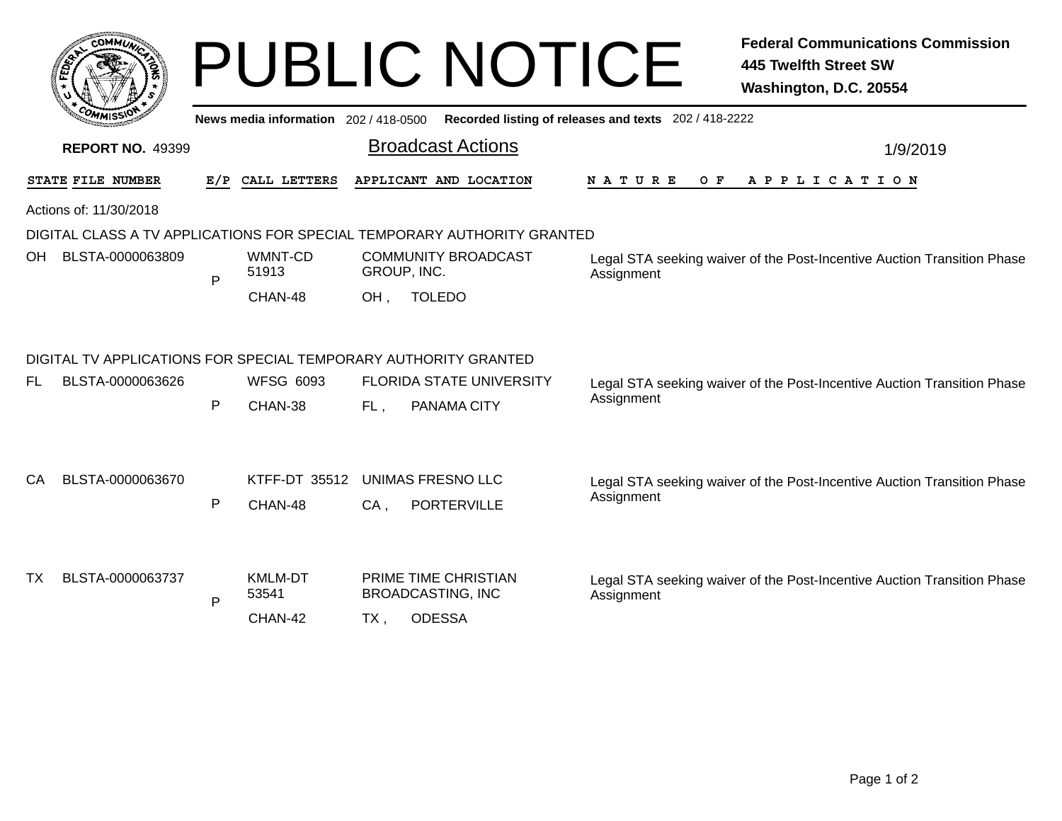| <b>COMMUNA</b>    |                         |   |                  | <b>PUBLIC NOTICE</b>                                                                        | <b>Federal Communications Commission</b><br><b>445 Twelfth Street SW</b><br>Washington, D.C. 20554 |  |  |
|-------------------|-------------------------|---|------------------|---------------------------------------------------------------------------------------------|----------------------------------------------------------------------------------------------------|--|--|
|                   |                         |   |                  | News media information 202 / 418-0500 Recorded listing of releases and texts 202 / 418-2222 |                                                                                                    |  |  |
|                   | <b>REPORT NO. 49399</b> |   |                  | <b>Broadcast Actions</b>                                                                    | 1/9/2019                                                                                           |  |  |
| STATE FILE NUMBER |                         |   | E/P CALL LETTERS | APPLICANT AND LOCATION                                                                      | N A T U R E<br>O F<br>A P P L I C A T I O N                                                        |  |  |
|                   | Actions of: 11/30/2018  |   |                  |                                                                                             |                                                                                                    |  |  |
|                   |                         |   |                  | DIGITAL CLASS A TV APPLICATIONS FOR SPECIAL TEMPORARY AUTHORITY GRANTED                     |                                                                                                    |  |  |
|                   | OH BLSTA-0000063809     | P | WMNT-CD<br>51913 | <b>COMMUNITY BROADCAST</b><br>GROUP, INC.                                                   | Legal STA seeking waiver of the Post-Incentive Auction Transition Phase<br>Assignment              |  |  |
|                   |                         |   | CHAN-48          | OH.<br><b>TOLEDO</b>                                                                        |                                                                                                    |  |  |
|                   |                         |   |                  | DIGITAL TV APPLICATIONS FOR SPECIAL TEMPORARY AUTHORITY GRANTED                             |                                                                                                    |  |  |
| FL.               | BLSTA-0000063626        |   | <b>WFSG 6093</b> | <b>FLORIDA STATE UNIVERSITY</b>                                                             | Legal STA seeking waiver of the Post-Incentive Auction Transition Phase                            |  |  |
|                   |                         | P | CHAN-38          | FL.<br>PANAMA CITY                                                                          | Assignment                                                                                         |  |  |
| CA                | BLSTA-0000063670        |   | KTFF-DT 35512    | <b>UNIMAS FRESNO LLC</b>                                                                    | Legal STA seeking waiver of the Post-Incentive Auction Transition Phase                            |  |  |
|                   |                         | P | CHAN-48          | $CA$ ,<br><b>PORTERVILLE</b>                                                                | Assignment                                                                                         |  |  |
| TX                | BLSTA-0000063737        |   | <b>KMLM-DT</b>   | PRIME TIME CHRISTIAN                                                                        | Legal STA seeking waiver of the Post-Incentive Auction Transition Phase                            |  |  |
|                   |                         | P | 53541            | <b>BROADCASTING, INC</b>                                                                    | Assignment                                                                                         |  |  |
|                   |                         |   | CHAN-42          | <b>ODESSA</b><br>TX.                                                                        |                                                                                                    |  |  |